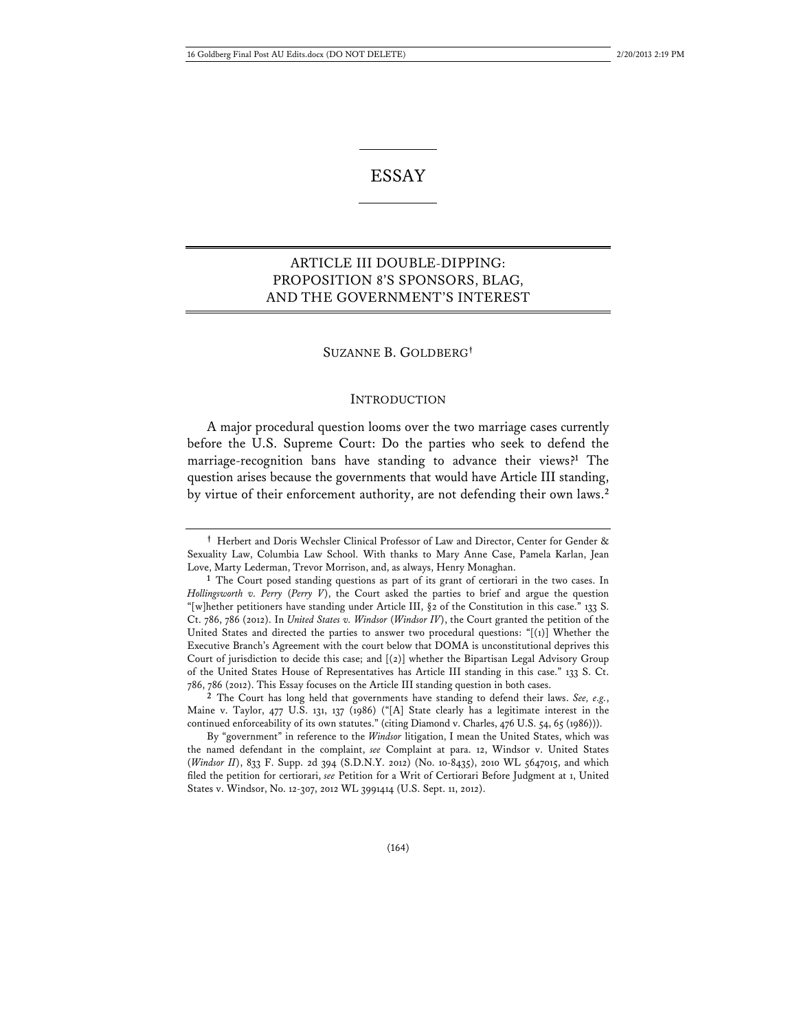# ESSAY

## ARTICLE III DOUBLE-DIPPING: PROPOSITION 8'S SPONSORS, BLAG, AND THE GOVERNMENT'S INTEREST

### SUZANNE B. GOLDBERG**†**

#### INTRODUCTION

A major procedural question looms over the two marriage cases currently before the U.S. Supreme Court: Do the parties who seek to defend the marriage-recognition bans have standing to advance their views?**<sup>1</sup>** The question arises because the governments that would have Article III standing, by virtue of their enforcement authority, are not defending their own laws.**<sup>2</sup>**

**<sup>†</sup>** Herbert and Doris Wechsler Clinical Professor of Law and Director, Center for Gender & Sexuality Law, Columbia Law School. With thanks to Mary Anne Case, Pamela Karlan, Jean Love, Marty Lederman, Trevor Morrison, and, as always, Henry Monaghan.

**<sup>1</sup>** The Court posed standing questions as part of its grant of certiorari in the two cases. In *Hollingsworth v. Perry* (*Perry V*), the Court asked the parties to brief and argue the question "[w]hether petitioners have standing under Article III, §2 of the Constitution in this case." 133 S. Ct. 786, 786 (2012). In *United States v. Windsor* (*Windsor IV*), the Court granted the petition of the United States and directed the parties to answer two procedural questions: "[(1)] Whether the Executive Branch's Agreement with the court below that DOMA is unconstitutional deprives this Court of jurisdiction to decide this case; and [(2)] whether the Bipartisan Legal Advisory Group of the United States House of Representatives has Article III standing in this case." 133 S. Ct. 786, 786 (2012). This Essay focuses on the Article III standing question in both cases.

**<sup>2</sup>** The Court has long held that governments have standing to defend their laws. *See, e.g.*, Maine v. Taylor, 477 U.S. 131, 137 (1986) ("[A] State clearly has a legitimate interest in the continued enforceability of its own statutes." (citing Diamond v. Charles, 476 U.S. 54, 65 (1986))).

By "government" in reference to the *Windsor* litigation, I mean the United States, which was the named defendant in the complaint, *see* Complaint at para. 12, Windsor v. United States (*Windsor II*), 833 F. Supp. 2d 394 (S.D.N.Y. 2012) (No. 10-8435), 2010 WL 5647015, and which filed the petition for certiorari, *see* Petition for a Writ of Certiorari Before Judgment at 1, United States v. Windsor, No. 12-307, 2012 WL 3991414 (U.S. Sept. 11, 2012).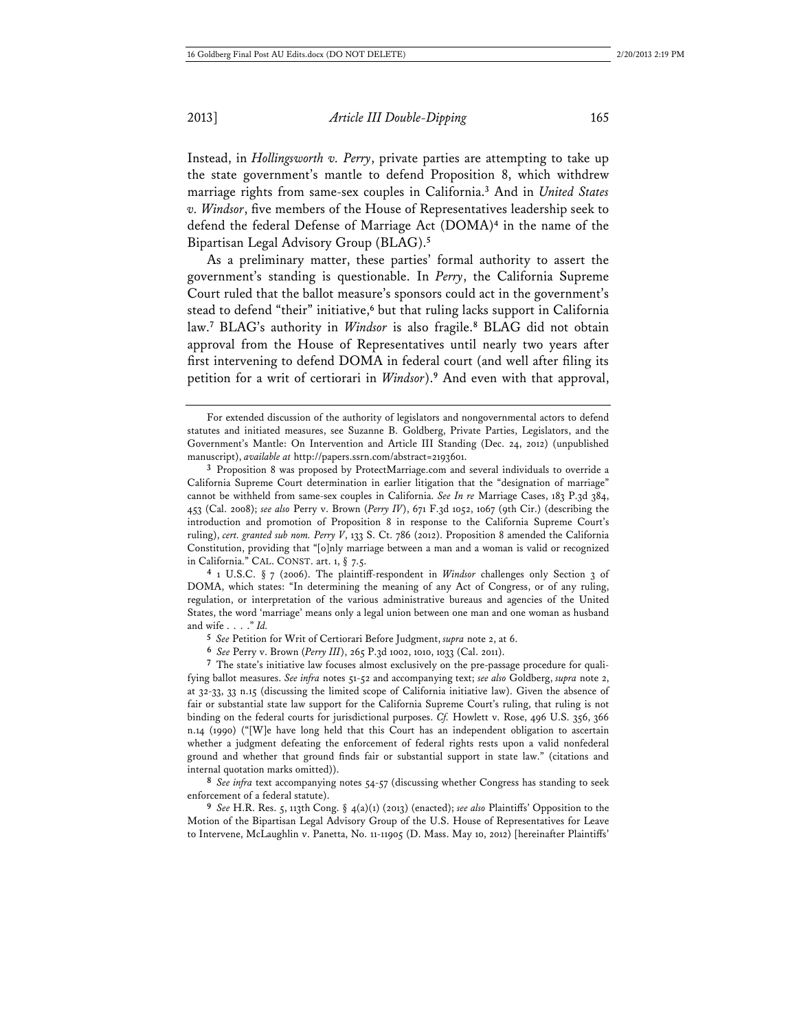Instead, in *Hollingsworth v. Perry*, private parties are attempting to take up the state government's mantle to defend Proposition 8, which withdrew marriage rights from same-sex couples in California.**<sup>3</sup>** And in *United States v. Windsor*, five members of the House of Representatives leadership seek to defend the federal Defense of Marriage Act (DOMA)**<sup>4</sup>** in the name of the Bipartisan Legal Advisory Group (BLAG).**<sup>5</sup>**

As a preliminary matter, these parties' formal authority to assert the government's standing is questionable. In *Perry*, the California Supreme Court ruled that the ballot measure's sponsors could act in the government's stead to defend "their" initiative,**<sup>6</sup>** but that ruling lacks support in California law.**<sup>7</sup>** BLAG's authority in *Windsor* is also fragile.**<sup>8</sup>** BLAG did not obtain approval from the House of Representatives until nearly two years after first intervening to defend DOMA in federal court (and well after filing its petition for a writ of certiorari in *Windsor*).**<sup>9</sup>** And even with that approval,

**4** 1 U.S.C. § 7 (2006). The plaintiff-respondent in *Windsor* challenges only Section 3 of DOMA, which states: "In determining the meaning of any Act of Congress, or of any ruling, regulation, or interpretation of the various administrative bureaus and agencies of the United States, the word 'marriage' means only a legal union between one man and one woman as husband and wife . . . ." *Id.*

**5** *See* Petition for Writ of Certiorari Before Judgment, *supra* note 2, at 6.

**6** *See* Perry v. Brown (*Perry III*), 265 P.3d 1002, 1010, 1033 (Cal. 2011).

**7** The state's initiative law focuses almost exclusively on the pre-passage procedure for qualifying ballot measures. *See infra* notes 51-52 and accompanying text; *see also* Goldberg, *supra* note 2, at 32-33, 33 n.15 (discussing the limited scope of California initiative law). Given the absence of fair or substantial state law support for the California Supreme Court's ruling, that ruling is not binding on the federal courts for jurisdictional purposes. *Cf.* Howlett v. Rose, 496 U.S. 356, 366 n.14 (1990) ("[W]e have long held that this Court has an independent obligation to ascertain whether a judgment defeating the enforcement of federal rights rests upon a valid nonfederal ground and whether that ground finds fair or substantial support in state law." (citations and internal quotation marks omitted)).

**8** *See infra* text accompanying notes 54-57 (discussing whether Congress has standing to seek enforcement of a federal statute).

**9** *See* H.R. Res. 5, 113th Cong. § 4(a)(1) (2013) (enacted); *see also* Plaintiffs' Opposition to the Motion of the Bipartisan Legal Advisory Group of the U.S. House of Representatives for Leave to Intervene, McLaughlin v. Panetta, No. 11-11905 (D. Mass. May 10, 2012) [hereinafter Plaintiffs'

For extended discussion of the authority of legislators and nongovernmental actors to defend statutes and initiated measures, see Suzanne B. Goldberg, Private Parties, Legislators, and the Government's Mantle: On Intervention and Article III Standing (Dec. 24, 2012) (unpublished manuscript), *available at* http://papers.ssrn.com/abstract=2193601.

**<sup>3</sup>** Proposition 8 was proposed by ProtectMarriage.com and several individuals to override a California Supreme Court determination in earlier litigation that the "designation of marriage" cannot be withheld from same-sex couples in California. *See In re* Marriage Cases, 183 P.3d 384, 453 (Cal. 2008); *see also* Perry v. Brown (*Perry IV*), 671 F.3d 1052, 1067 (9th Cir.) (describing the introduction and promotion of Proposition 8 in response to the California Supreme Court's ruling), *cert. granted sub nom. Perry V*, 133 S. Ct. 786 (2012). Proposition 8 amended the California Constitution, providing that "[o]nly marriage between a man and a woman is valid or recognized in California." CAL. CONST. art. 1, § 7.5.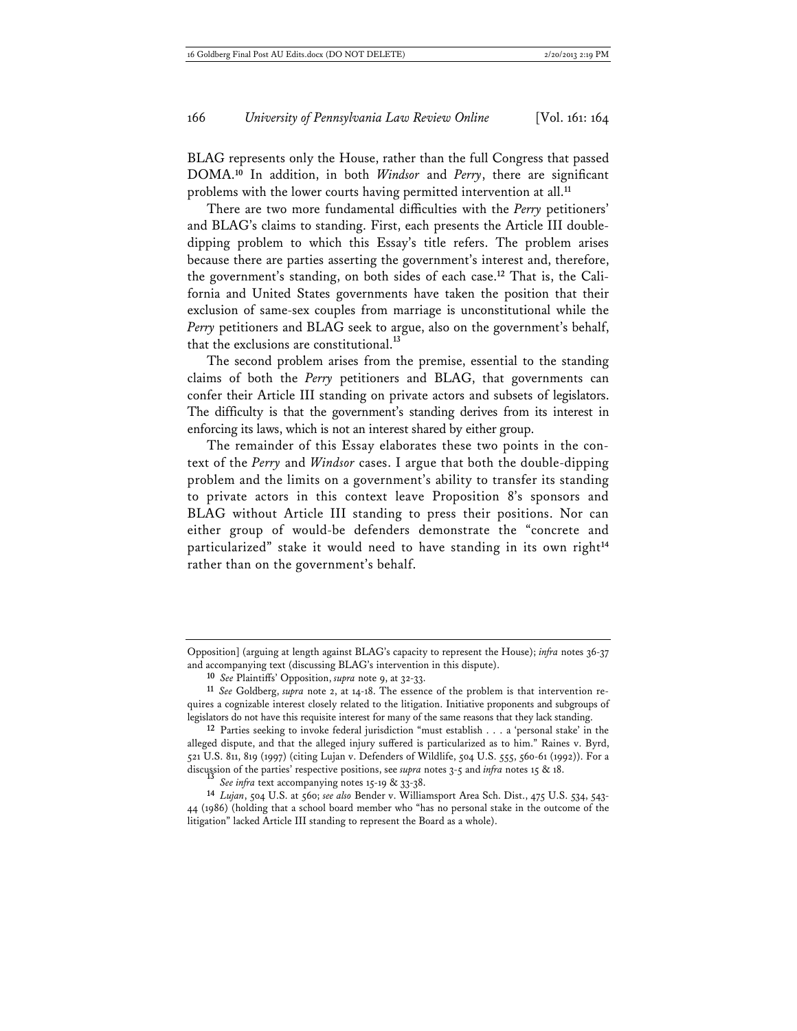BLAG represents only the House, rather than the full Congress that passed DOMA.**<sup>10</sup>** In addition, in both *Windsor* and *Perry*, there are significant problems with the lower courts having permitted intervention at all.**<sup>11</sup>**

There are two more fundamental difficulties with the *Perry* petitioners' and BLAG's claims to standing. First, each presents the Article III doubledipping problem to which this Essay's title refers. The problem arises because there are parties asserting the government's interest and, therefore, the government's standing, on both sides of each case.**12** That is, the California and United States governments have taken the position that their exclusion of same-sex couples from marriage is unconstitutional while the *Perry* petitioners and BLAG seek to argue, also on the government's behalf, that the exclusions are constitutional.**<sup>13</sup>**

The second problem arises from the premise, essential to the standing claims of both the *Perry* petitioners and BLAG, that governments can confer their Article III standing on private actors and subsets of legislators. The difficulty is that the government's standing derives from its interest in enforcing its laws, which is not an interest shared by either group.

The remainder of this Essay elaborates these two points in the context of the *Perry* and *Windsor* cases. I argue that both the double-dipping problem and the limits on a government's ability to transfer its standing to private actors in this context leave Proposition 8's sponsors and BLAG without Article III standing to press their positions. Nor can either group of would-be defenders demonstrate the "concrete and particularized" stake it would need to have standing in its own right**<sup>14</sup>** rather than on the government's behalf.

Opposition] (arguing at length against BLAG's capacity to represent the House); *infra* notes 36-37 and accompanying text (discussing BLAG's intervention in this dispute).

**<sup>10</sup>** *See* Plaintiffs' Opposition, *supra* note 9, at 32-33.

**<sup>11</sup>** *See* Goldberg, *supra* note 2, at 14-18. The essence of the problem is that intervention requires a cognizable interest closely related to the litigation. Initiative proponents and subgroups of legislators do not have this requisite interest for many of the same reasons that they lack standing.

**<sup>12</sup>** Parties seeking to invoke federal jurisdiction "must establish . . . a 'personal stake' in the alleged dispute, and that the alleged injury suffered is particularized as to him." Raines v. Byrd, 521 U.S. 811, 819 (1997) (citing Lujan v. Defenders of Wildlife, 504 U.S. 555, 560-61 (1992)). For a discussion of the parties' respective positions, see *supra* notes 3-5 and *infra* notes 15 & 18. **<sup>13</sup>** *See infra* text accompanying notes 15-19 & 33-38.

**<sup>14</sup>** *Lujan*, 504 U.S. at 560; *see also* Bender v. Williamsport Area Sch. Dist., 475 U.S. 534, 543- 44 (1986) (holding that a school board member who "has no personal stake in the outcome of the litigation" lacked Article III standing to represent the Board as a whole).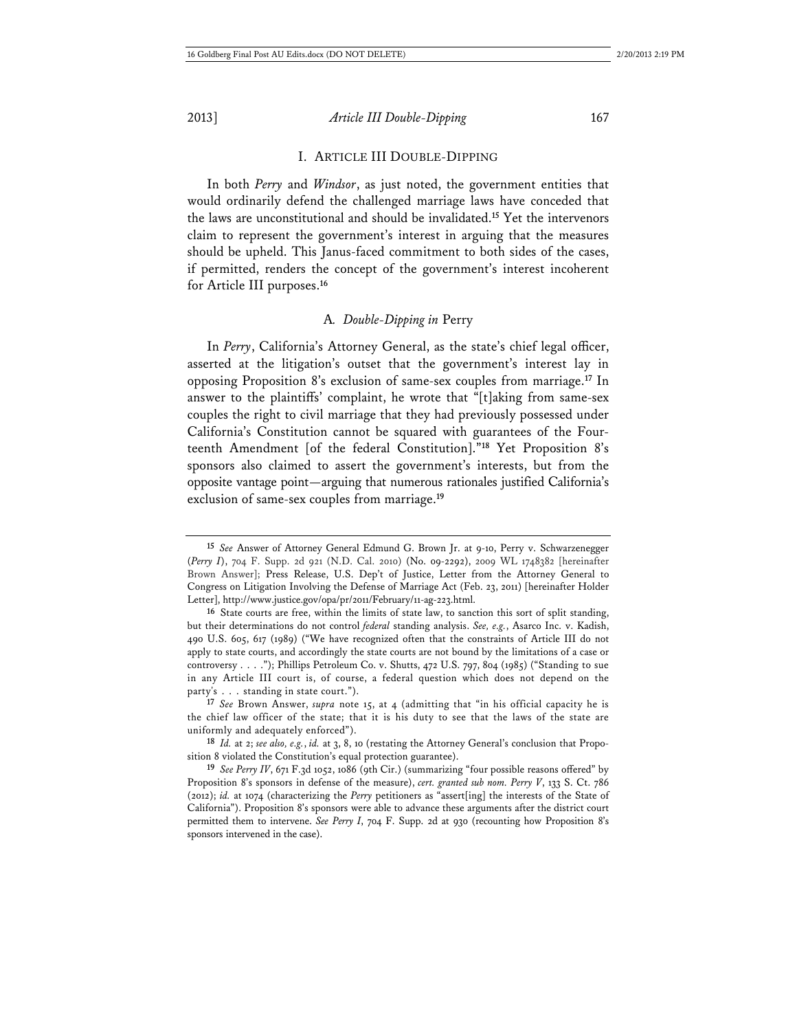#### I. ARTICLE III DOUBLE-DIPPING

In both *Perry* and *Windsor*, as just noted, the government entities that would ordinarily defend the challenged marriage laws have conceded that the laws are unconstitutional and should be invalidated.**<sup>15</sup>** Yet the intervenors claim to represent the government's interest in arguing that the measures should be upheld. This Janus-faced commitment to both sides of the cases, if permitted, renders the concept of the government's interest incoherent for Article III purposes.**<sup>16</sup>**

#### A*. Double-Dipping in* Perry

In *Perry*, California's Attorney General, as the state's chief legal officer, asserted at the litigation's outset that the government's interest lay in opposing Proposition 8's exclusion of same-sex couples from marriage.**<sup>17</sup>** In answer to the plaintiffs' complaint, he wrote that "[t]aking from same-sex couples the right to civil marriage that they had previously possessed under California's Constitution cannot be squared with guarantees of the Fourteenth Amendment [of the federal Constitution]."**<sup>18</sup>** Yet Proposition 8's sponsors also claimed to assert the government's interests, but from the opposite vantage point—arguing that numerous rationales justified California's exclusion of same-sex couples from marriage.**<sup>19</sup>**

**17** *See* Brown Answer, *supra* note 15, at 4 (admitting that "in his official capacity he is the chief law officer of the state; that it is his duty to see that the laws of the state are uniformly and adequately enforced").

**18** *Id.* at 2; *see also, e.g.*, *id.* at 3, 8, 10 (restating the Attorney General's conclusion that Proposition 8 violated the Constitution's equal protection guarantee).

**19** *See Perry IV*, 671 F.3d 1052, 1086 (9th Cir.) (summarizing "four possible reasons offered" by Proposition 8's sponsors in defense of the measure), *cert. granted sub nom. Perry V*, 133 S. Ct. 786 (2012); *id.* at 1074 (characterizing the *Perry* petitioners as "assert[ing] the interests of the State of California"). Proposition 8's sponsors were able to advance these arguments after the district court permitted them to intervene. *See Perry I*, 704 F. Supp. 2d at 930 (recounting how Proposition 8's sponsors intervened in the case).

**<sup>15</sup>** *See* Answer of Attorney General Edmund G. Brown Jr. at 9-10, Perry v. Schwarzenegger (*Perry I*), 704 F. Supp. 2d 921 (N.D. Cal. 2010) (No. 09-2292), 2009 WL 1748382 [hereinafter Brown Answer]; Press Release, U.S. Dep't of Justice, Letter from the Attorney General to Congress on Litigation Involving the Defense of Marriage Act (Feb. 23, 2011) [hereinafter Holder Letter], http://www.justice.gov/opa/pr/2011/February/11-ag-223.html.

**<sup>16</sup>** State courts are free, within the limits of state law, to sanction this sort of split standing, but their determinations do not control *federal* standing analysis. *See, e.g.*, Asarco Inc. v. Kadish, 490 U.S. 605, 617 (1989) ("We have recognized often that the constraints of Article III do not apply to state courts, and accordingly the state courts are not bound by the limitations of a case or controversy . . . ."); Phillips Petroleum Co. v. Shutts, 472 U.S. 797, 804 (1985) ("Standing to sue in any Article III court is, of course, a federal question which does not depend on the party's . . . standing in state court.").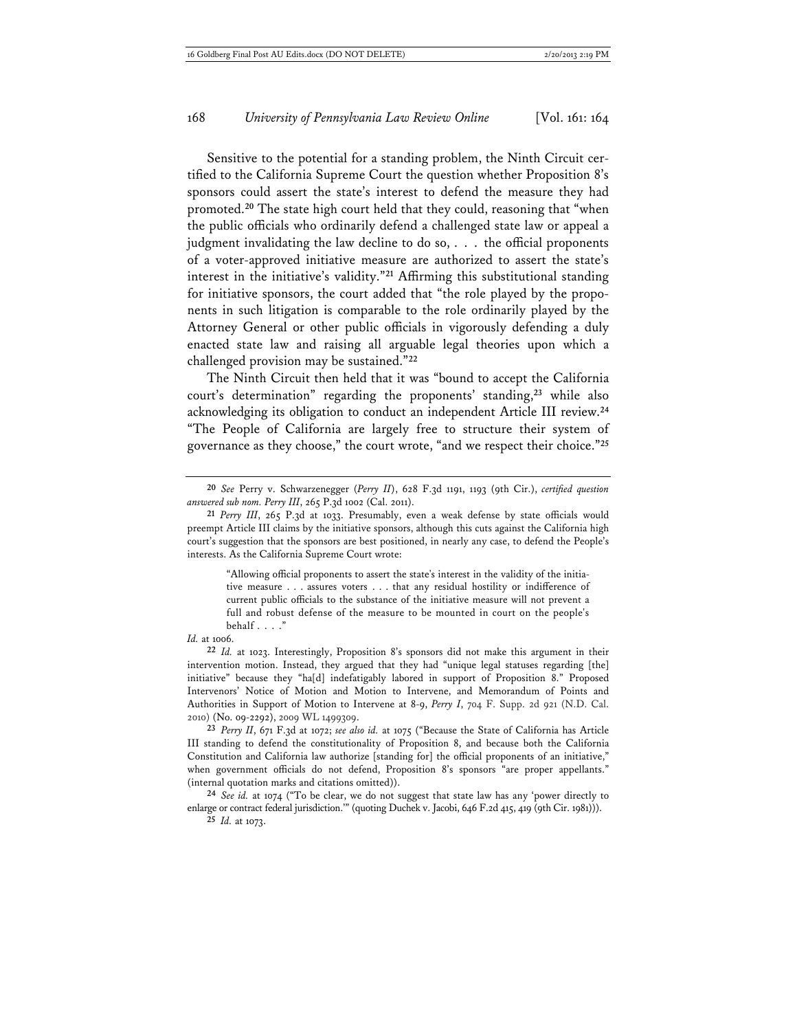Sensitive to the potential for a standing problem, the Ninth Circuit certified to the California Supreme Court the question whether Proposition 8's sponsors could assert the state's interest to defend the measure they had promoted.**<sup>20</sup>** The state high court held that they could, reasoning that "when the public officials who ordinarily defend a challenged state law or appeal a judgment invalidating the law decline to do so, . . . the official proponents of a voter-approved initiative measure are authorized to assert the state's interest in the initiative's validity."**<sup>21</sup>** Affirming this substitutional standing for initiative sponsors, the court added that "the role played by the proponents in such litigation is comparable to the role ordinarily played by the Attorney General or other public officials in vigorously defending a duly enacted state law and raising all arguable legal theories upon which a challenged provision may be sustained."**<sup>22</sup>**

The Ninth Circuit then held that it was "bound to accept the California court's determination" regarding the proponents' standing,**<sup>23</sup>** while also acknowledging its obligation to conduct an independent Article III review.**<sup>24</sup>** "The People of California are largely free to structure their system of governance as they choose," the court wrote, "and we respect their choice."**<sup>25</sup>**

"Allowing official proponents to assert the state's interest in the validity of the initiative measure . . . assures voters . . . that any residual hostility or indifference of current public officials to the substance of the initiative measure will not prevent a full and robust defense of the measure to be mounted in court on the people's behalf . . . ."

*Id.* at 1006.

**22** *Id.* at 1023. Interestingly, Proposition 8's sponsors did not make this argument in their intervention motion. Instead, they argued that they had "unique legal statuses regarding [the] initiative" because they "ha[d] indefatigably labored in support of Proposition 8." Proposed Intervenors' Notice of Motion and Motion to Intervene, and Memorandum of Points and Authorities in Support of Motion to Intervene at 8-9, *Perry I*, 704 F. Supp. 2d 921 (N.D. Cal. 2010) (No. 09-2292), 2009 WL 1499309.

**23** *Perry II*, 671 F.3d at 1072; *see also id.* at 1075 ("Because the State of California has Article III standing to defend the constitutionality of Proposition 8, and because both the California Constitution and California law authorize [standing for] the official proponents of an initiative," when government officials do not defend, Proposition 8's sponsors "are proper appellants." (internal quotation marks and citations omitted)).

**24** *See id.* at 1074 ("To be clear, we do not suggest that state law has any 'power directly to enlarge or contract federal jurisdiction.'" (quoting Duchek v. Jacobi, 646 F.2d 415, 419 (9th Cir. 1981))).

**25** *Id.* at 1073.

**<sup>20</sup>** *See* Perry v. Schwarzenegger (*Perry II*), 628 F.3d 1191, 1193 (9th Cir.), *certified question answered sub nom. Perry III*, 265 P.3d 1002 (Cal. 2011).

**<sup>21</sup>** *Perry III*, 265 P.3d at 1033. Presumably, even a weak defense by state officials would preempt Article III claims by the initiative sponsors, although this cuts against the California high court's suggestion that the sponsors are best positioned, in nearly any case, to defend the People's interests. As the California Supreme Court wrote: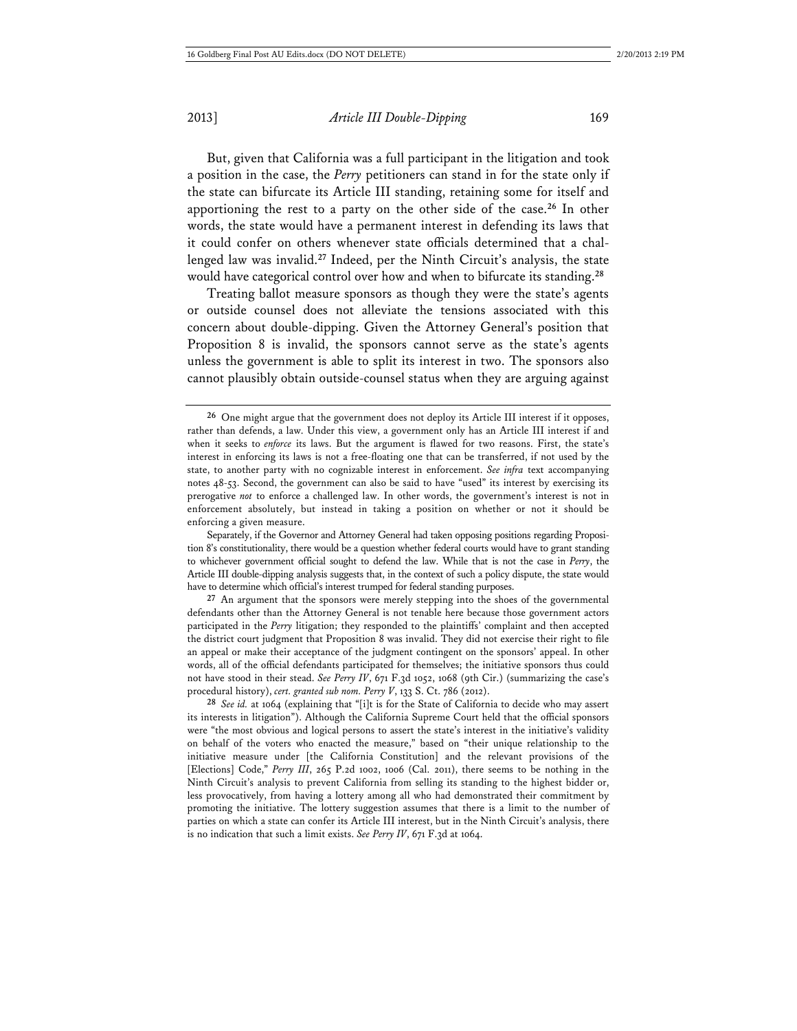But, given that California was a full participant in the litigation and took a position in the case, the *Perry* petitioners can stand in for the state only if the state can bifurcate its Article III standing, retaining some for itself and apportioning the rest to a party on the other side of the case.**<sup>26</sup>** In other words, the state would have a permanent interest in defending its laws that it could confer on others whenever state officials determined that a challenged law was invalid.**<sup>27</sup>** Indeed, per the Ninth Circuit's analysis, the state would have categorical control over how and when to bifurcate its standing.**<sup>28</sup>**

Treating ballot measure sponsors as though they were the state's agents or outside counsel does not alleviate the tensions associated with this concern about double-dipping. Given the Attorney General's position that Proposition 8 is invalid, the sponsors cannot serve as the state's agents unless the government is able to split its interest in two. The sponsors also cannot plausibly obtain outside-counsel status when they are arguing against

**27** An argument that the sponsors were merely stepping into the shoes of the governmental defendants other than the Attorney General is not tenable here because those government actors participated in the *Perry* litigation; they responded to the plaintiffs' complaint and then accepted the district court judgment that Proposition 8 was invalid. They did not exercise their right to file an appeal or make their acceptance of the judgment contingent on the sponsors' appeal. In other words, all of the official defendants participated for themselves; the initiative sponsors thus could not have stood in their stead. *See Perry IV*, 671 F.3d 1052, 1068 (9th Cir.) (summarizing the case's procedural history), *cert. granted sub nom. Perry V*, 133 S. Ct. 786 (2012).

**28** *See id.* at 1064 (explaining that "[i]t is for the State of California to decide who may assert its interests in litigation"). Although the California Supreme Court held that the official sponsors were "the most obvious and logical persons to assert the state's interest in the initiative's validity on behalf of the voters who enacted the measure," based on "their unique relationship to the initiative measure under [the California Constitution] and the relevant provisions of the [Elections] Code," *Perry III*, 265 P.2d 1002, 1006 (Cal. 2011), there seems to be nothing in the Ninth Circuit's analysis to prevent California from selling its standing to the highest bidder or, less provocatively, from having a lottery among all who had demonstrated their commitment by promoting the initiative. The lottery suggestion assumes that there is a limit to the number of parties on which a state can confer its Article III interest, but in the Ninth Circuit's analysis, there is no indication that such a limit exists. *See Perry IV*, 671 F.3d at 1064.

**<sup>26</sup>** One might argue that the government does not deploy its Article III interest if it opposes, rather than defends, a law. Under this view, a government only has an Article III interest if and when it seeks to *enforce* its laws. But the argument is flawed for two reasons. First, the state's interest in enforcing its laws is not a free-floating one that can be transferred, if not used by the state, to another party with no cognizable interest in enforcement. *See infra* text accompanying notes 48-53. Second, the government can also be said to have "used" its interest by exercising its prerogative *not* to enforce a challenged law. In other words, the government's interest is not in enforcement absolutely, but instead in taking a position on whether or not it should be enforcing a given measure.

Separately, if the Governor and Attorney General had taken opposing positions regarding Proposition 8's constitutionality, there would be a question whether federal courts would have to grant standing to whichever government official sought to defend the law. While that is not the case in *Perry*, the Article III double-dipping analysis suggests that, in the context of such a policy dispute, the state would have to determine which official's interest trumped for federal standing purposes.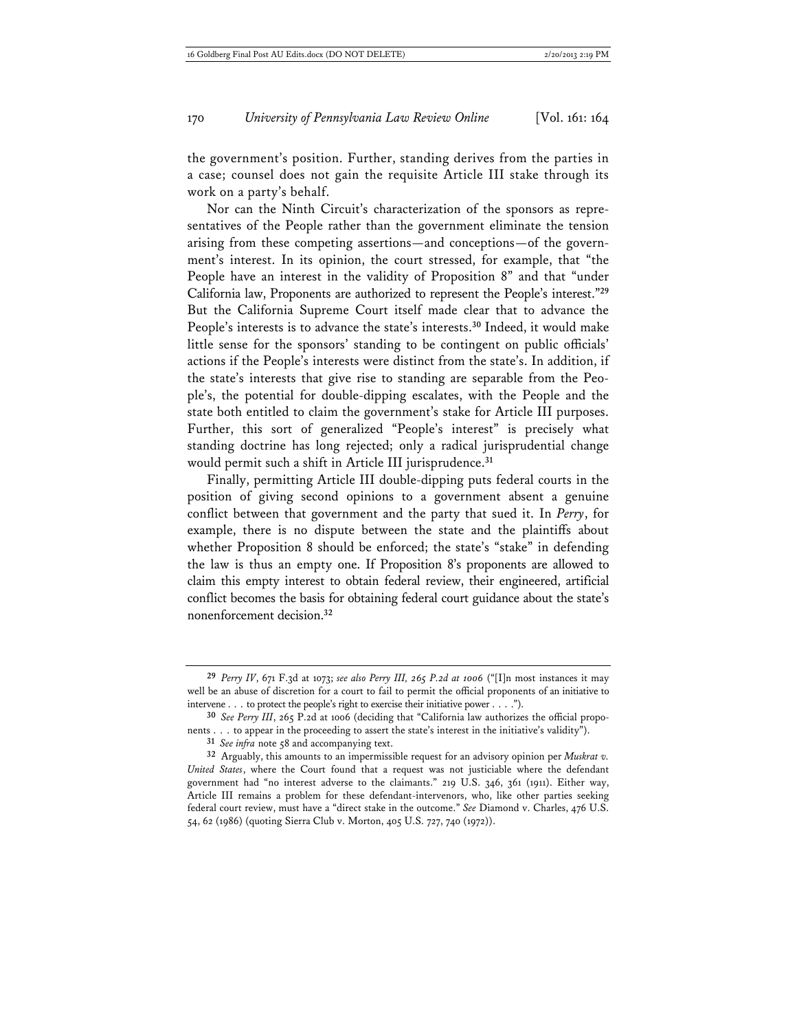the government's position. Further, standing derives from the parties in a case; counsel does not gain the requisite Article III stake through its work on a party's behalf.

Nor can the Ninth Circuit's characterization of the sponsors as representatives of the People rather than the government eliminate the tension arising from these competing assertions—and conceptions—of the government's interest. In its opinion, the court stressed, for example, that "the People have an interest in the validity of Proposition 8" and that "under California law, Proponents are authorized to represent the People's interest."**<sup>29</sup>** But the California Supreme Court itself made clear that to advance the People's interests is to advance the state's interests.**<sup>30</sup>** Indeed, it would make little sense for the sponsors' standing to be contingent on public officials' actions if the People's interests were distinct from the state's. In addition, if the state's interests that give rise to standing are separable from the People's, the potential for double-dipping escalates, with the People and the state both entitled to claim the government's stake for Article III purposes. Further, this sort of generalized "People's interest" is precisely what standing doctrine has long rejected; only a radical jurisprudential change would permit such a shift in Article III jurisprudence.**<sup>31</sup>**

Finally, permitting Article III double-dipping puts federal courts in the position of giving second opinions to a government absent a genuine conflict between that government and the party that sued it. In *Perry*, for example, there is no dispute between the state and the plaintiffs about whether Proposition 8 should be enforced; the state's "stake" in defending the law is thus an empty one. If Proposition 8's proponents are allowed to claim this empty interest to obtain federal review, their engineered, artificial conflict becomes the basis for obtaining federal court guidance about the state's nonenforcement decision.**<sup>32</sup>**

**<sup>29</sup>** *Perry IV*, 671 F.3d at 1073; *see also Perry III, 265 P.2d at 1006* ("[I]n most instances it may well be an abuse of discretion for a court to fail to permit the official proponents of an initiative to intervene . . . to protect the people's right to exercise their initiative power . . . .").

**<sup>30</sup>** *See Perry III*, 265 P.2d at 1006 (deciding that "California law authorizes the official proponents . . . to appear in the proceeding to assert the state's interest in the initiative's validity").

**<sup>31</sup>** *See infra* note 58 and accompanying text.

**<sup>32</sup>** Arguably, this amounts to an impermissible request for an advisory opinion per *Muskrat v. United States*, where the Court found that a request was not justiciable where the defendant government had "no interest adverse to the claimants." 219 U.S. 346, 361 (1911). Either way, Article III remains a problem for these defendant-intervenors, who, like other parties seeking federal court review, must have a "direct stake in the outcome." *See* Diamond v. Charles, 476 U.S. 54, 62 (1986) (quoting Sierra Club v. Morton, 405 U.S. 727, 740 (1972)).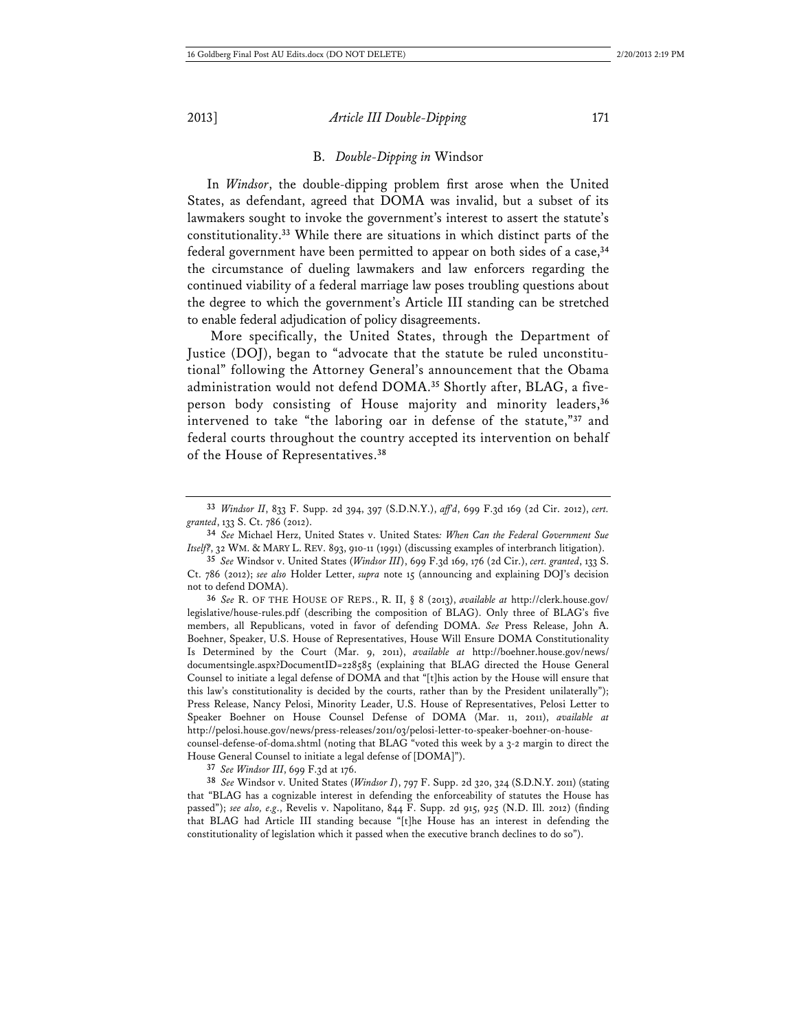#### B. *Double-Dipping in* Windsor

In *Windsor*, the double-dipping problem first arose when the United States, as defendant, agreed that DOMA was invalid, but a subset of its lawmakers sought to invoke the government's interest to assert the statute's constitutionality.**<sup>33</sup>** While there are situations in which distinct parts of the federal government have been permitted to appear on both sides of a case,**<sup>34</sup>** the circumstance of dueling lawmakers and law enforcers regarding the continued viability of a federal marriage law poses troubling questions about the degree to which the government's Article III standing can be stretched to enable federal adjudication of policy disagreements.

 More specifically, the United States, through the Department of Justice (DOJ), began to "advocate that the statute be ruled unconstitutional" following the Attorney General's announcement that the Obama administration would not defend DOMA.**35** Shortly after, BLAG, a fiveperson body consisting of House majority and minority leaders,**<sup>36</sup>** intervened to take "the laboring oar in defense of the statute,"**<sup>37</sup>** and federal courts throughout the country accepted its intervention on behalf of the House of Representatives.**<sup>38</sup>**

**36** *See* R. OF THE HOUSE OF REPS., R. II, § 8 (2013), *available at* http://clerk.house.gov/ legislative/house-rules.pdf (describing the composition of BLAG). Only three of BLAG's five members, all Republicans, voted in favor of defending DOMA. *See* Press Release, John A. Boehner, Speaker, U.S. House of Representatives, House Will Ensure DOMA Constitutionality Is Determined by the Court (Mar. 9, 2011), *available at* http://boehner.house.gov/news/ documentsingle.aspx?DocumentID=228585 (explaining that BLAG directed the House General Counsel to initiate a legal defense of DOMA and that "[t]his action by the House will ensure that this law's constitutionality is decided by the courts, rather than by the President unilaterally"); Press Release, Nancy Pelosi, Minority Leader, U.S. House of Representatives, Pelosi Letter to Speaker Boehner on House Counsel Defense of DOMA (Mar. 11, 2011), *available at* http://pelosi.house.gov/news/press-releases/2011/03/pelosi-letter-to-speaker-boehner-on-housecounsel-defense-of-doma.shtml (noting that BLAG "voted this week by a 3-2 margin to direct the

House General Counsel to initiate a legal defense of [DOMA]").

**37** *See Windsor III*, 699 F.3d at 176.

**38** *See* Windsor v. United States (*Windsor I*), 797 F. Supp. 2d 320, 324 (S.D.N.Y. 2011) (stating that "BLAG has a cognizable interest in defending the enforceability of statutes the House has passed"); *see also, e.g*., Revelis v. Napolitano, 844 F. Supp. 2d 915, 925 (N.D. Ill. 2012) (finding that BLAG had Article III standing because "[t]he House has an interest in defending the constitutionality of legislation which it passed when the executive branch declines to do so").

**<sup>33</sup>** *Windsor II*, 833 F. Supp. 2d 394, 397 (S.D.N.Y.), *aff'd*, 699 F.3d 169 (2d Cir. 2012), *cert. granted*, 133 S. Ct. 786 (2012).

**<sup>34</sup>** *See* Michael Herz, United States v. United States*: When Can the Federal Government Sue Itself?*, 32 WM. & MARY L. REV. 893, 910-11 (1991) (discussing examples of interbranch litigation).

**<sup>35</sup>** *See* Windsor v. United States (*Windsor III*), 699 F.3d 169, 176 (2d Cir.), *cert. granted*, 133 S. Ct. 786 (2012); *see also* Holder Letter, *supra* note 15 (announcing and explaining DOJ's decision not to defend DOMA).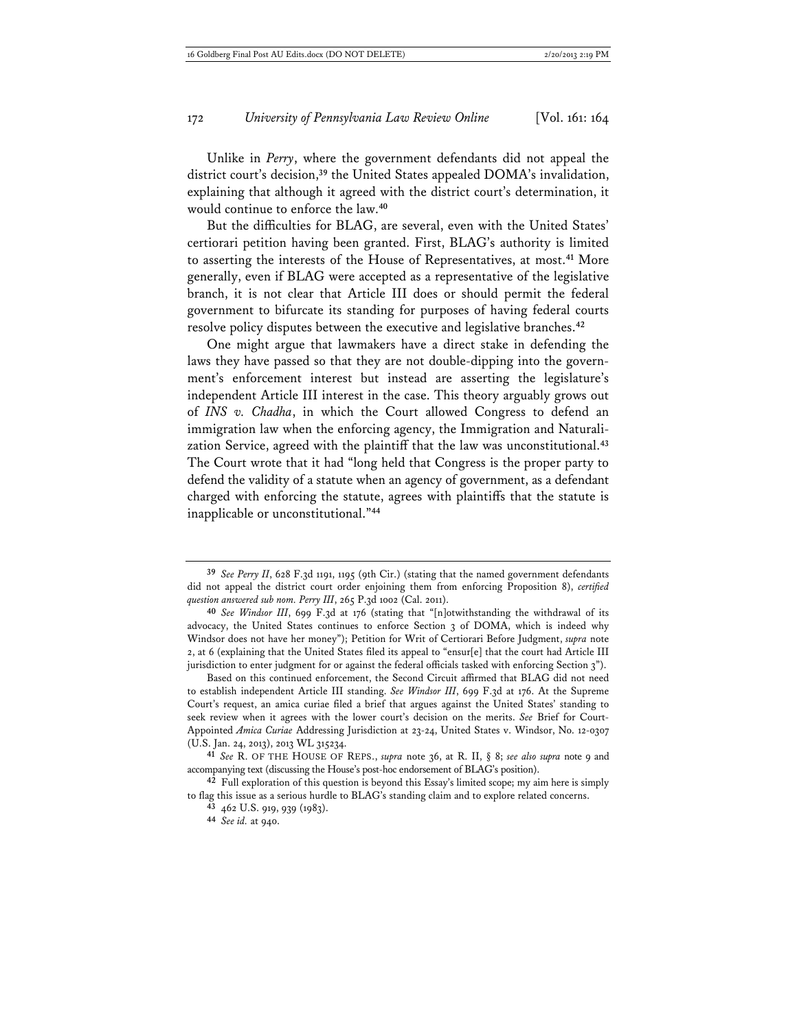Unlike in *Perry*, where the government defendants did not appeal the district court's decision,**<sup>39</sup>** the United States appealed DOMA's invalidation, explaining that although it agreed with the district court's determination, it would continue to enforce the law.**<sup>40</sup>**

But the difficulties for BLAG, are several, even with the United States' certiorari petition having been granted. First, BLAG's authority is limited to asserting the interests of the House of Representatives, at most.**<sup>41</sup>** More generally, even if BLAG were accepted as a representative of the legislative branch, it is not clear that Article III does or should permit the federal government to bifurcate its standing for purposes of having federal courts resolve policy disputes between the executive and legislative branches.**<sup>42</sup>**

One might argue that lawmakers have a direct stake in defending the laws they have passed so that they are not double-dipping into the government's enforcement interest but instead are asserting the legislature's independent Article III interest in the case. This theory arguably grows out of *INS v. Chadha*, in which the Court allowed Congress to defend an immigration law when the enforcing agency, the Immigration and Naturalization Service, agreed with the plaintiff that the law was unconstitutional.**<sup>43</sup>** The Court wrote that it had "long held that Congress is the proper party to defend the validity of a statute when an agency of government, as a defendant charged with enforcing the statute, agrees with plaintiffs that the statute is inapplicable or unconstitutional."**<sup>44</sup>**

Based on this continued enforcement, the Second Circuit affirmed that BLAG did not need to establish independent Article III standing. *See Windsor III*, 699 F.3d at 176. At the Supreme Court's request, an amica curiae filed a brief that argues against the United States' standing to seek review when it agrees with the lower court's decision on the merits. *See* Brief for Court-Appointed *Amica Curiae* Addressing Jurisdiction at 23-24, United States v. Windsor, No. 12-0307 (U.S. Jan. 24, 2013), 2013 WL 315234.

**<sup>39</sup>** *See Perry II*, 628 F.3d 1191, 1195 (9th Cir.) (stating that the named government defendants did not appeal the district court order enjoining them from enforcing Proposition 8), *certified question answered sub nom. Perry III*, 265 P.3d 1002 (Cal. 2011).

**<sup>40</sup>** *See Windsor III*, 699 F.3d at 176 (stating that "[n]otwithstanding the withdrawal of its advocacy, the United States continues to enforce Section 3 of DOMA, which is indeed why Windsor does not have her money"); Petition for Writ of Certiorari Before Judgment, *supra* note 2, at 6 (explaining that the United States filed its appeal to "ensur[e] that the court had Article III jurisdiction to enter judgment for or against the federal officials tasked with enforcing Section 3").

**<sup>41</sup>** *See* R. OF THE HOUSE OF REPS., *supra* note 36, at R. II, § 8; *see also supra* note 9 and accompanying text (discussing the House's post-hoc endorsement of BLAG's position).

**<sup>42</sup>** Full exploration of this question is beyond this Essay's limited scope; my aim here is simply to flag this issue as a serious hurdle to BLAG's standing claim and to explore related concerns.

**<sup>43</sup>** 462 U.S. 919, 939 (1983).

**<sup>44</sup>** *See id.* at 940.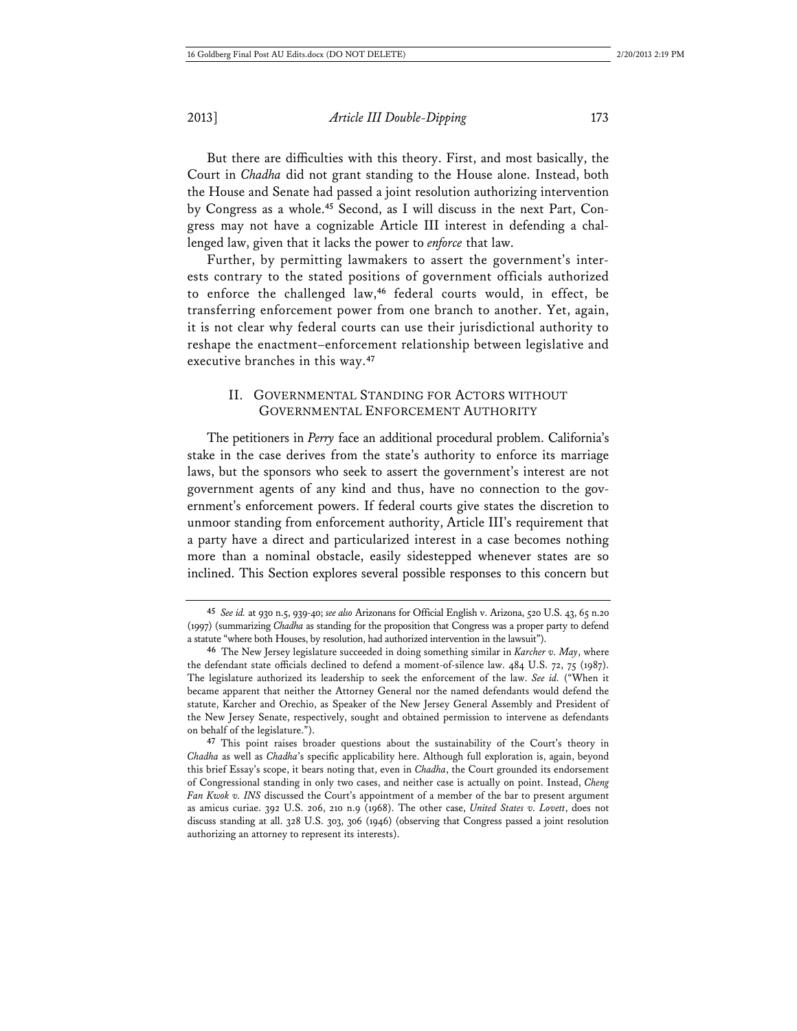But there are difficulties with this theory. First, and most basically, the Court in *Chadha* did not grant standing to the House alone. Instead, both the House and Senate had passed a joint resolution authorizing intervention by Congress as a whole.**45** Second, as I will discuss in the next Part, Congress may not have a cognizable Article III interest in defending a challenged law, given that it lacks the power to *enforce* that law.

Further, by permitting lawmakers to assert the government's interests contrary to the stated positions of government officials authorized to enforce the challenged law,**<sup>46</sup>** federal courts would, in effect, be transferring enforcement power from one branch to another. Yet, again, it is not clear why federal courts can use their jurisdictional authority to reshape the enactment–enforcement relationship between legislative and executive branches in this way.**<sup>47</sup>**

### II. GOVERNMENTAL STANDING FOR ACTORS WITHOUT GOVERNMENTAL ENFORCEMENT AUTHORITY

The petitioners in *Perry* face an additional procedural problem. California's stake in the case derives from the state's authority to enforce its marriage laws, but the sponsors who seek to assert the government's interest are not government agents of any kind and thus, have no connection to the government's enforcement powers. If federal courts give states the discretion to unmoor standing from enforcement authority, Article III's requirement that a party have a direct and particularized interest in a case becomes nothing more than a nominal obstacle, easily sidestepped whenever states are so inclined. This Section explores several possible responses to this concern but

**<sup>45</sup>** *See id.* at 930 n.5, 939-40; *see also* Arizonans for Official English v. Arizona, 520 U.S. 43, 65 n.20 (1997) (summarizing *Chadha* as standing for the proposition that Congress was a proper party to defend a statute "where both Houses, by resolution, had authorized intervention in the lawsuit").

**<sup>46</sup>** The New Jersey legislature succeeded in doing something similar in *Karcher v. May*, where the defendant state officials declined to defend a moment-of-silence law. 484 U.S. 72, 75 (1987). The legislature authorized its leadership to seek the enforcement of the law. *See id.* ("When it became apparent that neither the Attorney General nor the named defendants would defend the statute, Karcher and Orechio, as Speaker of the New Jersey General Assembly and President of the New Jersey Senate, respectively, sought and obtained permission to intervene as defendants on behalf of the legislature.").

**<sup>47</sup>** This point raises broader questions about the sustainability of the Court's theory in *Chadha* as well as *Chadha*'s specific applicability here. Although full exploration is, again, beyond this brief Essay's scope, it bears noting that, even in *Chadha*, the Court grounded its endorsement of Congressional standing in only two cases, and neither case is actually on point. Instead, *Cheng Fan Kwok v. INS* discussed the Court's appointment of a member of the bar to present argument as amicus curiae. 392 U.S. 206, 210 n.9 (1968). The other case, *United States v. Lovett*, does not discuss standing at all. 328 U.S. 303, 306 (1946) (observing that Congress passed a joint resolution authorizing an attorney to represent its interests).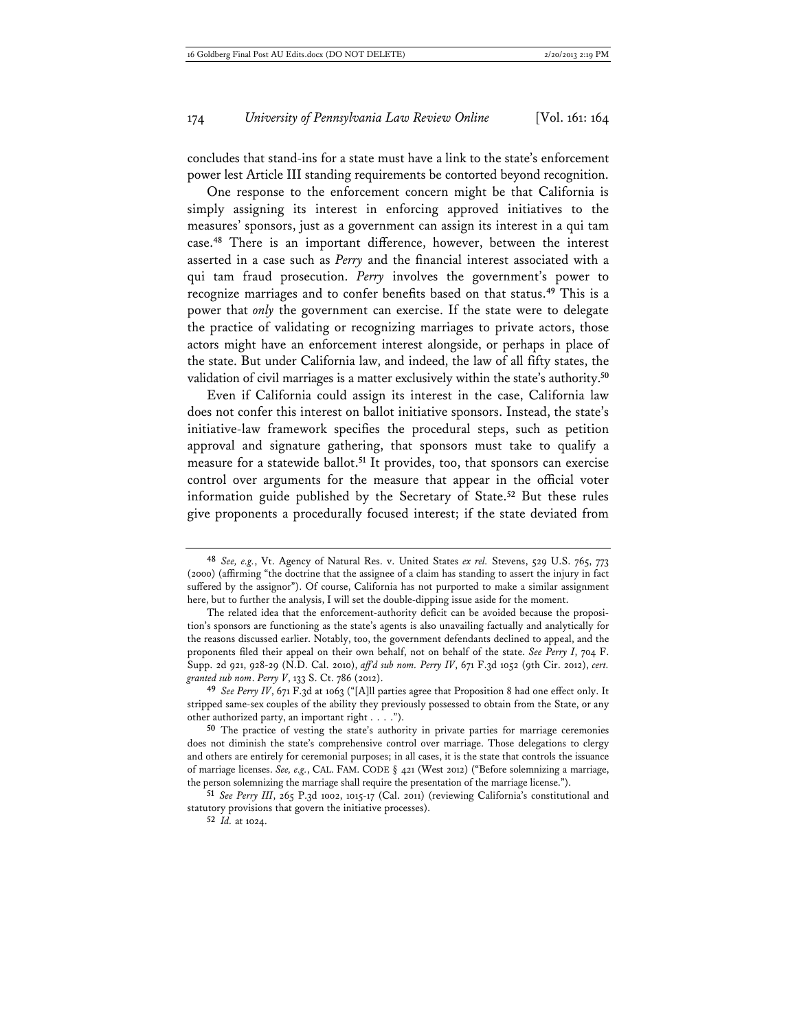concludes that stand-ins for a state must have a link to the state's enforcement power lest Article III standing requirements be contorted beyond recognition.

One response to the enforcement concern might be that California is simply assigning its interest in enforcing approved initiatives to the measures' sponsors, just as a government can assign its interest in a qui tam case.**<sup>48</sup>** There is an important difference, however, between the interest asserted in a case such as *Perry* and the financial interest associated with a qui tam fraud prosecution. *Perry* involves the government's power to recognize marriages and to confer benefits based on that status.**<sup>49</sup>** This is a power that *only* the government can exercise. If the state were to delegate the practice of validating or recognizing marriages to private actors, those actors might have an enforcement interest alongside, or perhaps in place of the state. But under California law, and indeed, the law of all fifty states, the validation of civil marriages is a matter exclusively within the state's authority.**<sup>50</sup>**

Even if California could assign its interest in the case, California law does not confer this interest on ballot initiative sponsors. Instead, the state's initiative-law framework specifies the procedural steps, such as petition approval and signature gathering, that sponsors must take to qualify a measure for a statewide ballot.**<sup>51</sup>** It provides, too, that sponsors can exercise control over arguments for the measure that appear in the official voter information guide published by the Secretary of State.**<sup>52</sup>** But these rules give proponents a procedurally focused interest; if the state deviated from

**50** The practice of vesting the state's authority in private parties for marriage ceremonies does not diminish the state's comprehensive control over marriage. Those delegations to clergy and others are entirely for ceremonial purposes; in all cases, it is the state that controls the issuance of marriage licenses. *See, e.g.*, CAL. FAM. CODE § 421 (West 2012) ("Before solemnizing a marriage, the person solemnizing the marriage shall require the presentation of the marriage license.").

**51** *See Perry III*, 265 P.3d 1002, 1015-17 (Cal. 2011) (reviewing California's constitutional and statutory provisions that govern the initiative processes).

**52** *Id.* at 1024.

**<sup>48</sup>** *See, e.g.*, Vt. Agency of Natural Res. v. United States *ex rel.* Stevens, 529 U.S. 765, 773 (2000) (affirming "the doctrine that the assignee of a claim has standing to assert the injury in fact suffered by the assignor"). Of course, California has not purported to make a similar assignment here, but to further the analysis, I will set the double-dipping issue aside for the moment.

The related idea that the enforcement-authority deficit can be avoided because the proposition's sponsors are functioning as the state's agents is also unavailing factually and analytically for the reasons discussed earlier. Notably, too, the government defendants declined to appeal, and the proponents filed their appeal on their own behalf, not on behalf of the state. *See Perry I*, 704 F. Supp. 2d 921, 928-29 (N.D. Cal. 2010), *aff'd sub nom. Perry IV*, 671 F.3d 1052 (9th Cir. 2012), *cert. granted sub nom*. *Perry V*, 133 S. Ct. 786 (2012).

**<sup>49</sup>** *See Perry IV*, 671 F.3d at 1063 ("[A]ll parties agree that Proposition 8 had one effect only. It stripped same-sex couples of the ability they previously possessed to obtain from the State, or any other authorized party, an important right . . . .").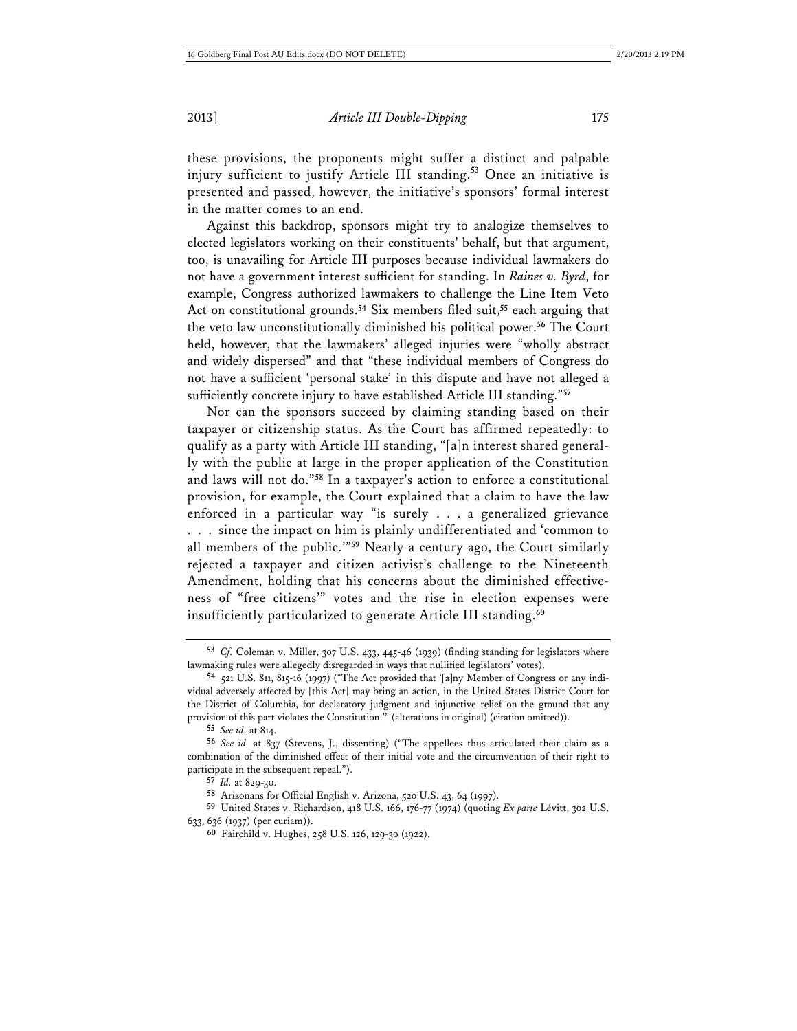these provisions, the proponents might suffer a distinct and palpable injury sufficient to justify Article III standing.**<sup>53</sup>** Once an initiative is presented and passed, however, the initiative's sponsors' formal interest in the matter comes to an end.

Against this backdrop, sponsors might try to analogize themselves to elected legislators working on their constituents' behalf, but that argument, too, is unavailing for Article III purposes because individual lawmakers do not have a government interest sufficient for standing. In *Raines v. Byrd*, for example, Congress authorized lawmakers to challenge the Line Item Veto Act on constitutional grounds.**<sup>54</sup>** Six members filed suit,**<sup>55</sup>** each arguing that the veto law unconstitutionally diminished his political power.**<sup>56</sup>** The Court held, however, that the lawmakers' alleged injuries were "wholly abstract and widely dispersed" and that "these individual members of Congress do not have a sufficient 'personal stake' in this dispute and have not alleged a sufficiently concrete injury to have established Article III standing."**<sup>57</sup>**

Nor can the sponsors succeed by claiming standing based on their taxpayer or citizenship status. As the Court has affirmed repeatedly: to qualify as a party with Article III standing, "[a]n interest shared generally with the public at large in the proper application of the Constitution and laws will not do."**<sup>58</sup>** In a taxpayer's action to enforce a constitutional provision, for example, the Court explained that a claim to have the law enforced in a particular way "is surely . . . a generalized grievance . . . since the impact on him is plainly undifferentiated and 'common to all members of the public.'"**<sup>59</sup>** Nearly a century ago, the Court similarly rejected a taxpayer and citizen activist's challenge to the Nineteenth Amendment, holding that his concerns about the diminished effectiveness of "free citizens'" votes and the rise in election expenses were insufficiently particularized to generate Article III standing.**<sup>60</sup>**

**<sup>53</sup>** *Cf.* Coleman v. Miller, 307 U.S. 433, 445-46 (1939) (finding standing for legislators where lawmaking rules were allegedly disregarded in ways that nullified legislators' votes).

**<sup>54</sup>** 521 U.S. 811, 815-16 (1997) ("The Act provided that '[a]ny Member of Congress or any individual adversely affected by [this Act] may bring an action, in the United States District Court for the District of Columbia, for declaratory judgment and injunctive relief on the ground that any provision of this part violates the Constitution.'" (alterations in original) (citation omitted)).

**<sup>55</sup>** *See id*. at 814.

**<sup>56</sup>** *See id.* at 837 (Stevens, J., dissenting) ("The appellees thus articulated their claim as a combination of the diminished effect of their initial vote and the circumvention of their right to participate in the subsequent repeal.").

**<sup>57</sup>** *Id.* at 829-30.

**<sup>58</sup>** Arizonans for Official English v. Arizona, 520 U.S. 43, 64 (1997).

**<sup>59</sup>** United States v. Richardson, 418 U.S. 166, 176-77 (1974) (quoting *Ex parte* Lévitt, 302 U.S. 633, 636 (1937) (per curiam)).

**<sup>60</sup>** Fairchild v. Hughes, 258 U.S. 126, 129-30 (1922).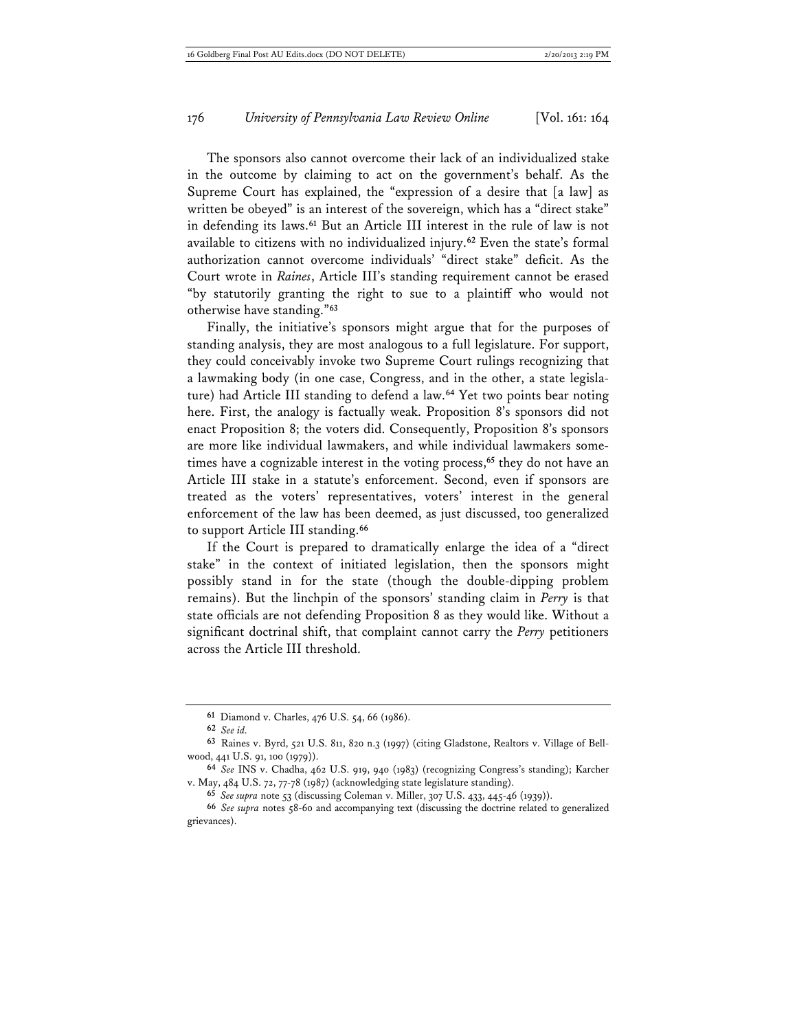The sponsors also cannot overcome their lack of an individualized stake in the outcome by claiming to act on the government's behalf. As the Supreme Court has explained, the "expression of a desire that [a law] as written be obeyed" is an interest of the sovereign, which has a "direct stake" in defending its laws.**<sup>61</sup>** But an Article III interest in the rule of law is not available to citizens with no individualized injury.**<sup>62</sup>** Even the state's formal authorization cannot overcome individuals' "direct stake" deficit. As the Court wrote in *Raines*, Article III's standing requirement cannot be erased "by statutorily granting the right to sue to a plaintiff who would not otherwise have standing."**<sup>63</sup>**

Finally, the initiative's sponsors might argue that for the purposes of standing analysis, they are most analogous to a full legislature. For support, they could conceivably invoke two Supreme Court rulings recognizing that a lawmaking body (in one case, Congress, and in the other, a state legislature) had Article III standing to defend a law.**<sup>64</sup>** Yet two points bear noting here. First, the analogy is factually weak. Proposition 8's sponsors did not enact Proposition 8; the voters did. Consequently, Proposition 8's sponsors are more like individual lawmakers, and while individual lawmakers sometimes have a cognizable interest in the voting process,**<sup>65</sup>** they do not have an Article III stake in a statute's enforcement. Second, even if sponsors are treated as the voters' representatives, voters' interest in the general enforcement of the law has been deemed, as just discussed, too generalized to support Article III standing.**<sup>66</sup>**

If the Court is prepared to dramatically enlarge the idea of a "direct stake" in the context of initiated legislation, then the sponsors might possibly stand in for the state (though the double-dipping problem remains). But the linchpin of the sponsors' standing claim in *Perry* is that state officials are not defending Proposition 8 as they would like. Without a significant doctrinal shift, that complaint cannot carry the *Perry* petitioners across the Article III threshold.

**<sup>61</sup>** Diamond v. Charles, 476 U.S. 54, 66 (1986).

**<sup>62</sup>** *See id.*

**<sup>63</sup>** Raines v. Byrd, 521 U.S. 811, 820 n.3 (1997) (citing Gladstone, Realtors v. Village of Bellwood, 441 U.S. 91, 100 (1979)).

**<sup>64</sup>** *See* INS v. Chadha, 462 U.S. 919, 940 (1983) (recognizing Congress's standing); Karcher v. May, 484 U.S. 72, 77-78 (1987) (acknowledging state legislature standing).

**<sup>65</sup>** *See supra* note 53 (discussing Coleman v. Miller, 307 U.S. 433, 445-46 (1939)).

**<sup>66</sup>** *See supra* notes 58-60 and accompanying text (discussing the doctrine related to generalized grievances).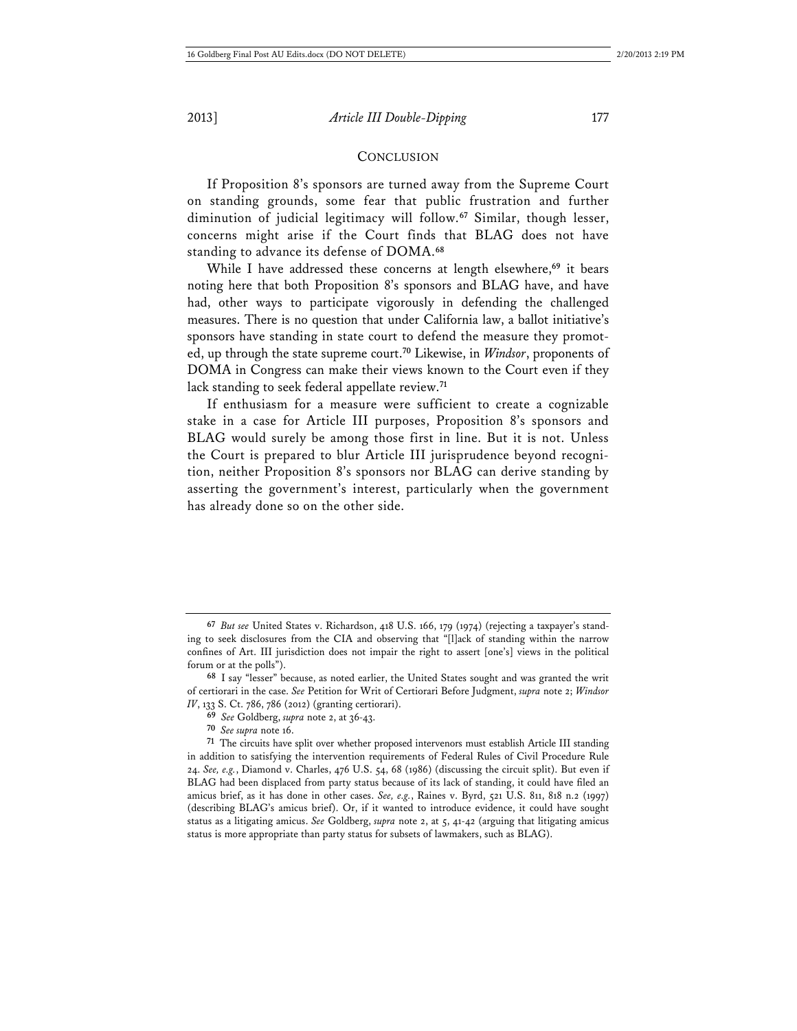#### **CONCLUSION**

If Proposition 8's sponsors are turned away from the Supreme Court on standing grounds, some fear that public frustration and further diminution of judicial legitimacy will follow.**<sup>67</sup>** Similar, though lesser, concerns might arise if the Court finds that BLAG does not have standing to advance its defense of DOMA.**<sup>68</sup>**

While I have addressed these concerns at length elsewhere,**<sup>69</sup>** it bears noting here that both Proposition 8's sponsors and BLAG have, and have had, other ways to participate vigorously in defending the challenged measures. There is no question that under California law, a ballot initiative's sponsors have standing in state court to defend the measure they promoted, up through the state supreme court.**<sup>70</sup>** Likewise, in *Windsor*, proponents of DOMA in Congress can make their views known to the Court even if they lack standing to seek federal appellate review.**<sup>71</sup>**

If enthusiasm for a measure were sufficient to create a cognizable stake in a case for Article III purposes, Proposition 8's sponsors and BLAG would surely be among those first in line. But it is not. Unless the Court is prepared to blur Article III jurisprudence beyond recognition, neither Proposition 8's sponsors nor BLAG can derive standing by asserting the government's interest, particularly when the government has already done so on the other side.

**<sup>67</sup>** *But see* United States v. Richardson, 418 U.S. 166, 179 (1974) (rejecting a taxpayer's standing to seek disclosures from the CIA and observing that "[l]ack of standing within the narrow confines of Art. III jurisdiction does not impair the right to assert [one's] views in the political forum or at the polls").

**<sup>68</sup>** I say "lesser" because, as noted earlier, the United States sought and was granted the writ of certiorari in the case. *See* Petition for Writ of Certiorari Before Judgment, *supra* note 2; *Windsor IV*, 133 S. Ct. 786, 786 (2012) (granting certiorari).

**<sup>69</sup>** *See* Goldberg, *supra* note 2, at 36-43.

**<sup>70</sup>** *See supra* note 16.

**<sup>71</sup>** The circuits have split over whether proposed intervenors must establish Article III standing in addition to satisfying the intervention requirements of Federal Rules of Civil Procedure Rule 24. *See, e.g.*, Diamond v. Charles, 476 U.S. 54, 68 (1986) (discussing the circuit split). But even if BLAG had been displaced from party status because of its lack of standing, it could have filed an amicus brief, as it has done in other cases. *See, e.g.*, Raines v. Byrd, 521 U.S. 811, 818 n.2 (1997) (describing BLAG's amicus brief). Or, if it wanted to introduce evidence, it could have sought status as a litigating amicus. *See* Goldberg, *supra* note 2, at 5, 41-42 (arguing that litigating amicus status is more appropriate than party status for subsets of lawmakers, such as BLAG).